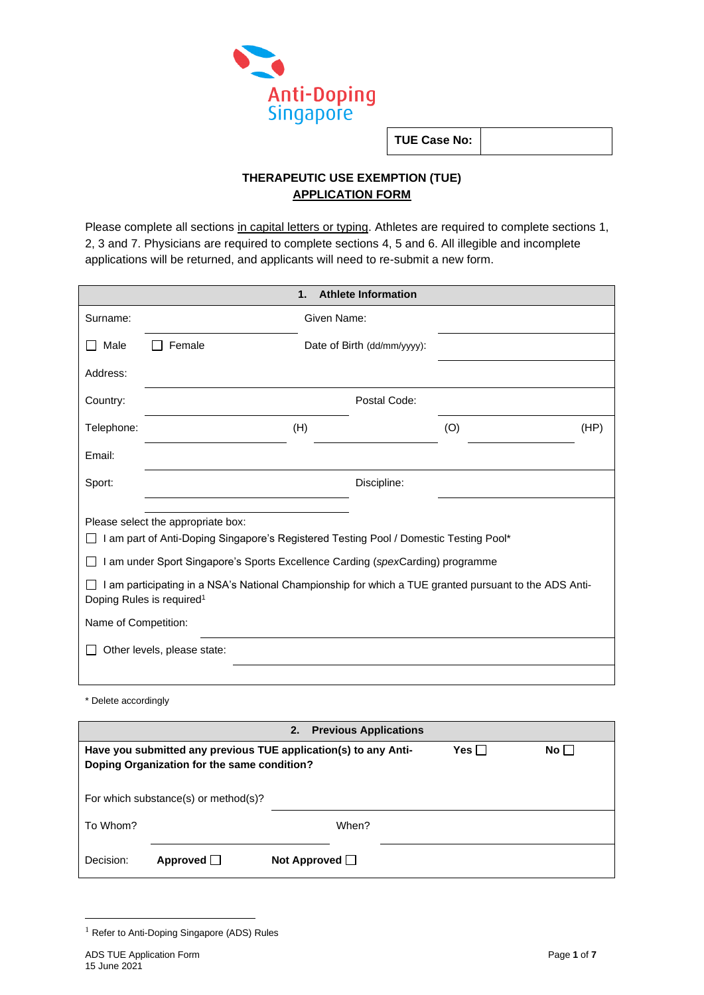

**TUE Case No:**

# **THERAPEUTIC USE EXEMPTION (TUE) APPLICATION FORM**

Please complete all sections in capital letters or typing. Athletes are required to complete sections 1, 2, 3 and 7. Physicians are required to complete sections 4, 5 and 6. All illegible and incomplete applications will be returned, and applicants will need to re-submit a new form.

|                                                                                                                                                                                                                                                                                                                                                                                                                        |        | 1.                          | <b>Athlete Information</b> |     |      |
|------------------------------------------------------------------------------------------------------------------------------------------------------------------------------------------------------------------------------------------------------------------------------------------------------------------------------------------------------------------------------------------------------------------------|--------|-----------------------------|----------------------------|-----|------|
| Surname:                                                                                                                                                                                                                                                                                                                                                                                                               |        | Given Name:                 |                            |     |      |
| Male                                                                                                                                                                                                                                                                                                                                                                                                                   | Female | Date of Birth (dd/mm/yyyy): |                            |     |      |
| Address:                                                                                                                                                                                                                                                                                                                                                                                                               |        |                             |                            |     |      |
| Country:                                                                                                                                                                                                                                                                                                                                                                                                               |        |                             | Postal Code:               |     |      |
| Telephone:                                                                                                                                                                                                                                                                                                                                                                                                             |        | (H)                         |                            | (O) | (HP) |
| Email:                                                                                                                                                                                                                                                                                                                                                                                                                 |        |                             |                            |     |      |
| Sport:                                                                                                                                                                                                                                                                                                                                                                                                                 |        |                             | Discipline:                |     |      |
| Please select the appropriate box:<br>I am part of Anti-Doping Singapore's Registered Testing Pool / Domestic Testing Pool*<br>I am under Sport Singapore's Sports Excellence Carding (spexCarding) programme<br>I am participating in a NSA's National Championship for which a TUE granted pursuant to the ADS Anti-<br>Doping Rules is required <sup>1</sup><br>Name of Competition:<br>Other levels, please state: |        |                             |                            |     |      |
|                                                                                                                                                                                                                                                                                                                                                                                                                        |        |                             |                            |     |      |

\* Delete accordingly

| <b>Previous Applications</b><br>2.                                                                                                |                 |                     |       |  |  |
|-----------------------------------------------------------------------------------------------------------------------------------|-----------------|---------------------|-------|--|--|
| Yes $\Box$<br>$No \BoxHave you submitted any previous TUE application(s) to any Anti-Doping Organization for the same condition?$ |                 |                     |       |  |  |
| For which substance(s) or method(s)?                                                                                              |                 |                     |       |  |  |
| To Whom?                                                                                                                          |                 |                     | When? |  |  |
| Decision:                                                                                                                         | <b>Approved</b> | Not Approved $\Box$ |       |  |  |

 $1$  Refer to Anti-Doping Singapore (ADS) Rules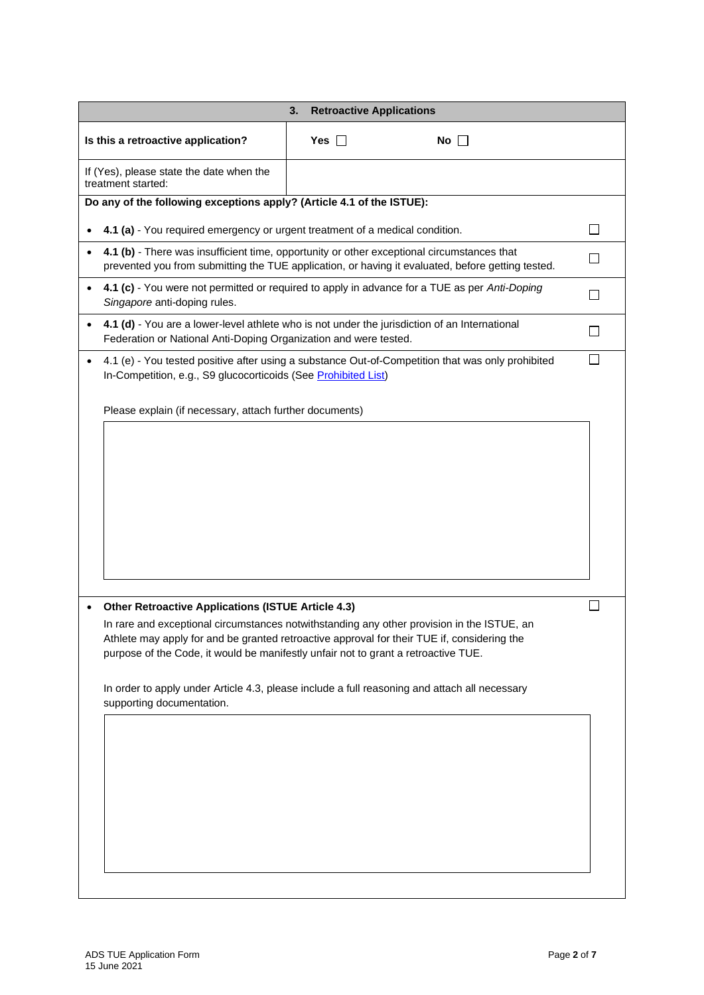| <b>Retroactive Applications</b><br>3.                                                                                                                                                                                                                  |               |           |  |  |  |
|--------------------------------------------------------------------------------------------------------------------------------------------------------------------------------------------------------------------------------------------------------|---------------|-----------|--|--|--|
| Is this a retroactive application?                                                                                                                                                                                                                     | Yes $\square$ | No $\Box$ |  |  |  |
| If (Yes), please state the date when the<br>treatment started:                                                                                                                                                                                         |               |           |  |  |  |
| Do any of the following exceptions apply? (Article 4.1 of the ISTUE):                                                                                                                                                                                  |               |           |  |  |  |
| 4.1 (a) - You required emergency or urgent treatment of a medical condition.                                                                                                                                                                           |               |           |  |  |  |
| 4.1 (b) - There was insufficient time, opportunity or other exceptional circumstances that<br>prevented you from submitting the TUE application, or having it evaluated, before getting tested.                                                        |               |           |  |  |  |
| 4.1 (c) - You were not permitted or required to apply in advance for a TUE as per Anti-Doping<br>Singapore anti-doping rules.                                                                                                                          |               |           |  |  |  |
| 4.1 (d) - You are a lower-level athlete who is not under the jurisdiction of an International<br>Federation or National Anti-Doping Organization and were tested.                                                                                      |               |           |  |  |  |
| 4.1 (e) - You tested positive after using a substance Out-of-Competition that was only prohibited<br>In-Competition, e.g., S9 glucocorticoids (See Prohibited List)                                                                                    |               |           |  |  |  |
| Please explain (if necessary, attach further documents)                                                                                                                                                                                                |               |           |  |  |  |
|                                                                                                                                                                                                                                                        |               |           |  |  |  |
|                                                                                                                                                                                                                                                        |               |           |  |  |  |
|                                                                                                                                                                                                                                                        |               |           |  |  |  |
| <b>Other Retroactive Applications (ISTUE Article 4.3)</b><br>In rare and exceptional circumstances notwithstanding any other provision in the ISTUE, an<br>Athlete may apply for and be granted retroactive approval for their TUE if, considering the |               |           |  |  |  |
| purpose of the Code, it would be manifestly unfair not to grant a retroactive TUE.                                                                                                                                                                     |               |           |  |  |  |
| In order to apply under Article 4.3, please include a full reasoning and attach all necessary<br>supporting documentation.                                                                                                                             |               |           |  |  |  |
|                                                                                                                                                                                                                                                        |               |           |  |  |  |
|                                                                                                                                                                                                                                                        |               |           |  |  |  |
|                                                                                                                                                                                                                                                        |               |           |  |  |  |
|                                                                                                                                                                                                                                                        |               |           |  |  |  |
|                                                                                                                                                                                                                                                        |               |           |  |  |  |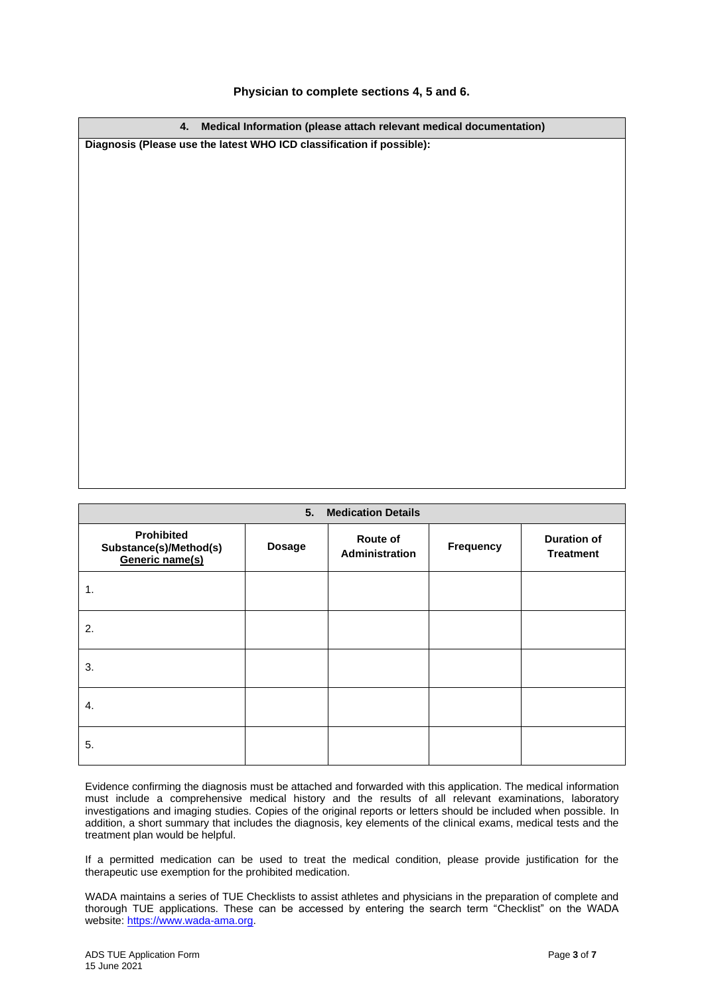## **Physician to complete sections 4, 5 and 6.**

**4. Medical Information (please attach relevant medical documentation) Diagnosis (Please use the latest WHO ICD classification if possible): 5. Medication Details**

| 5.<br><b>Medication Details</b>                                |               |                            |                  |                                        |  |
|----------------------------------------------------------------|---------------|----------------------------|------------------|----------------------------------------|--|
| <b>Prohibited</b><br>Substance(s)/Method(s)<br>Generic name(s) | <b>Dosage</b> | Route of<br>Administration | <b>Frequency</b> | <b>Duration of</b><br><b>Treatment</b> |  |
| 1.                                                             |               |                            |                  |                                        |  |
| 2.                                                             |               |                            |                  |                                        |  |
| 3.                                                             |               |                            |                  |                                        |  |
| 4.                                                             |               |                            |                  |                                        |  |
| 5.                                                             |               |                            |                  |                                        |  |

Evidence confirming the diagnosis must be attached and forwarded with this application. The medical information must include a comprehensive medical history and the results of all relevant examinations, laboratory investigations and imaging studies. Copies of the original reports or letters should be included when possible. In addition, a short summary that includes the diagnosis, key elements of the clinical exams, medical tests and the treatment plan would be helpful.

If a permitted medication can be used to treat the medical condition, please provide justification for the therapeutic use exemption for the prohibited medication.

WADA maintains a series of TUE Checklists to assist athletes and physicians in the preparation of complete and thorough TUE applications. These can be accessed by entering the search term "Checklist" on the WADA website[: https://www.wada-ama.org.](https://www.wada-ama.org/)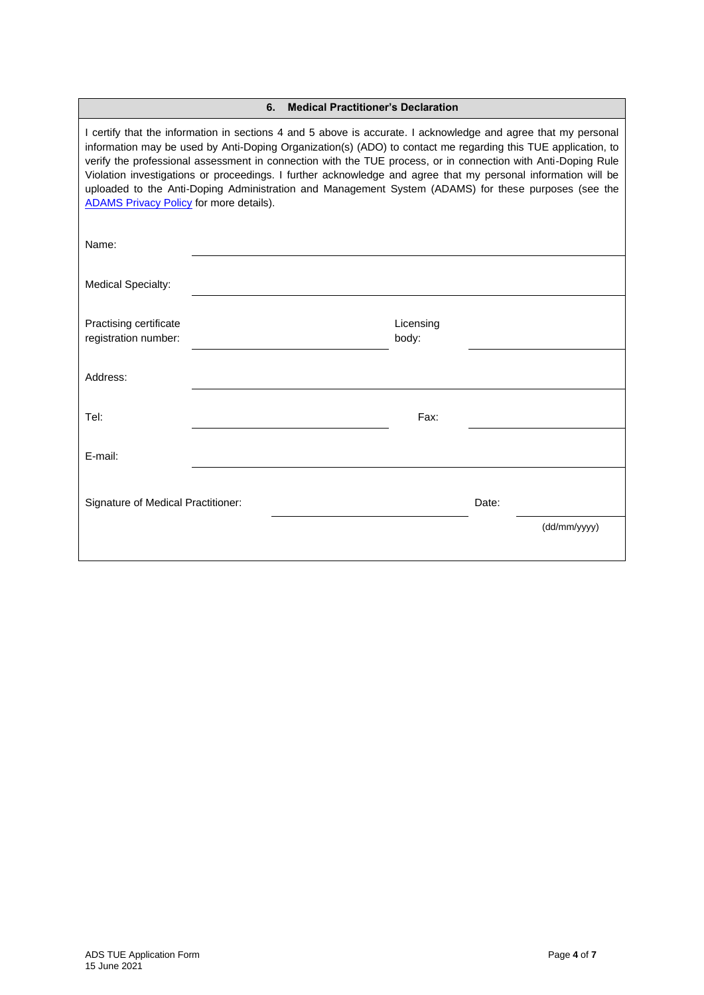| <b>Medical Practitioner's Declaration</b><br>6.                                                                                                                                                                                                                                                                                                                                                                                                                                                                                                                                                                             |  |  |                    |       |              |
|-----------------------------------------------------------------------------------------------------------------------------------------------------------------------------------------------------------------------------------------------------------------------------------------------------------------------------------------------------------------------------------------------------------------------------------------------------------------------------------------------------------------------------------------------------------------------------------------------------------------------------|--|--|--------------------|-------|--------------|
| I certify that the information in sections 4 and 5 above is accurate. I acknowledge and agree that my personal<br>information may be used by Anti-Doping Organization(s) (ADO) to contact me regarding this TUE application, to<br>verify the professional assessment in connection with the TUE process, or in connection with Anti-Doping Rule<br>Violation investigations or proceedings. I further acknowledge and agree that my personal information will be<br>uploaded to the Anti-Doping Administration and Management System (ADAMS) for these purposes (see the<br><b>ADAMS Privacy Policy for more details).</b> |  |  |                    |       |              |
| Name:                                                                                                                                                                                                                                                                                                                                                                                                                                                                                                                                                                                                                       |  |  |                    |       |              |
| <b>Medical Specialty:</b>                                                                                                                                                                                                                                                                                                                                                                                                                                                                                                                                                                                                   |  |  |                    |       |              |
| Practising certificate<br>registration number:                                                                                                                                                                                                                                                                                                                                                                                                                                                                                                                                                                              |  |  | Licensing<br>body: |       |              |
| Address:                                                                                                                                                                                                                                                                                                                                                                                                                                                                                                                                                                                                                    |  |  |                    |       |              |
| Tel:                                                                                                                                                                                                                                                                                                                                                                                                                                                                                                                                                                                                                        |  |  | Fax:               |       |              |
| E-mail:                                                                                                                                                                                                                                                                                                                                                                                                                                                                                                                                                                                                                     |  |  |                    |       |              |
| Signature of Medical Practitioner:                                                                                                                                                                                                                                                                                                                                                                                                                                                                                                                                                                                          |  |  |                    | Date: |              |
|                                                                                                                                                                                                                                                                                                                                                                                                                                                                                                                                                                                                                             |  |  |                    |       | (dd/mm/yyyy) |
|                                                                                                                                                                                                                                                                                                                                                                                                                                                                                                                                                                                                                             |  |  |                    |       |              |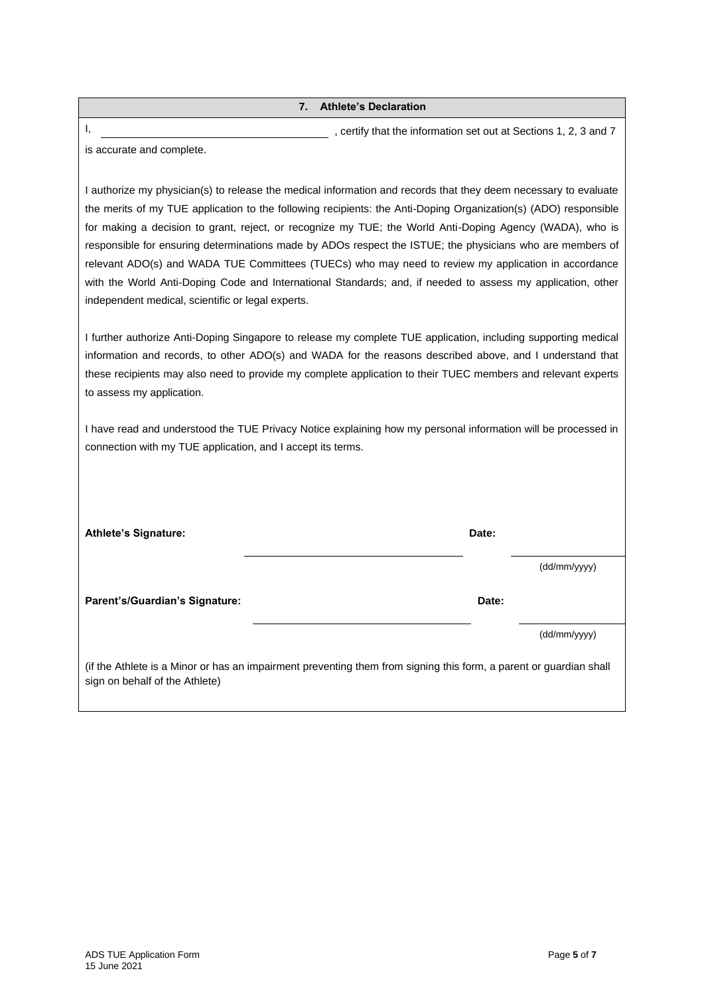I, the information set out at Sections 1, 2, 3 and 7 is accurate and complete.

I authorize my physician(s) to release the medical information and records that they deem necessary to evaluate the merits of my TUE application to the following recipients: the Anti-Doping Organization(s) (ADO) responsible for making a decision to grant, reject, or recognize my TUE; the World Anti-Doping Agency (WADA), who is responsible for ensuring determinations made by ADOs respect the ISTUE; the physicians who are members of relevant ADO(s) and WADA TUE Committees (TUECs) who may need to review my application in accordance with the World Anti-Doping Code and International Standards; and, if needed to assess my application, other independent medical, scientific or legal experts.

I further authorize Anti-Doping Singapore to release my complete TUE application, including supporting medical information and records, to other ADO(s) and WADA for the reasons described above, and I understand that these recipients may also need to provide my complete application to their TUEC members and relevant experts to assess my application.

I have read and understood the TUE Privacy Notice explaining how my personal information will be processed in connection with my TUE application, and I accept its terms.

| <b>Athlete's Signature:</b>                                                                                                                          | Date: |              |  |
|------------------------------------------------------------------------------------------------------------------------------------------------------|-------|--------------|--|
|                                                                                                                                                      |       | (dd/mm/yyyy) |  |
| Parent's/Guardian's Signature:                                                                                                                       | Date: |              |  |
|                                                                                                                                                      |       | (dd/mm/yyyy) |  |
| (if the Athlete is a Minor or has an impairment preventing them from signing this form, a parent or guardian shall<br>sign on behalf of the Athlete) |       |              |  |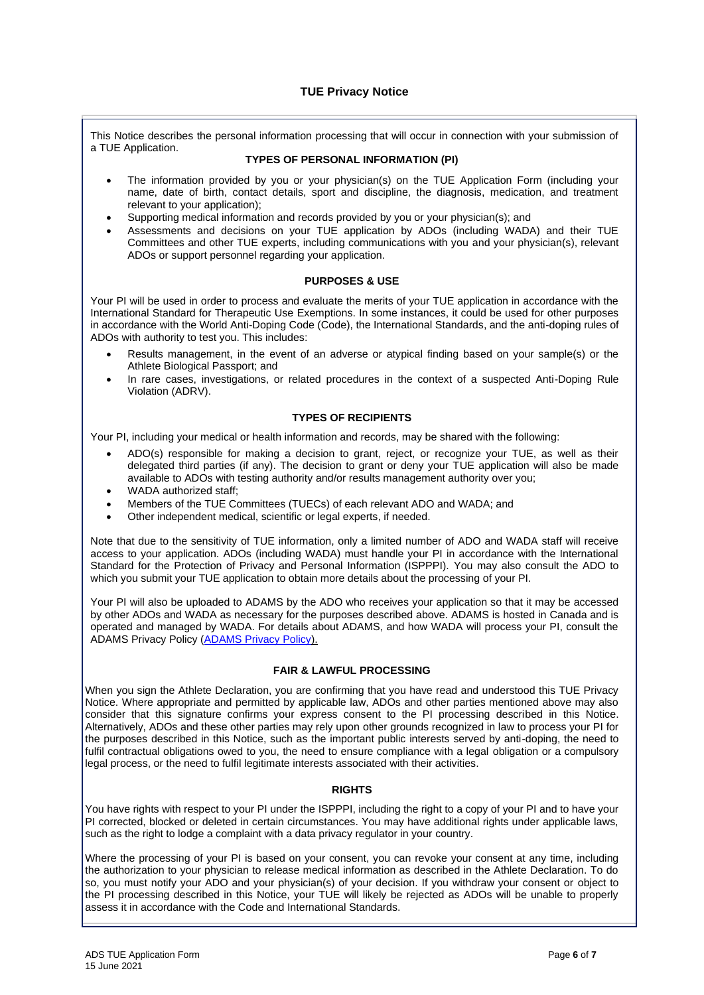## **TUE Privacy Notice**

This Notice describes the personal information processing that will occur in connection with your submission of a TUE Application.

#### **TYPES OF PERSONAL INFORMATION (PI)**

- The information provided by you or your physician(s) on the TUE Application Form (including your name, date of birth, contact details, sport and discipline, the diagnosis, medication, and treatment relevant to your application);
- Supporting medical information and records provided by you or your physician(s); and
- Assessments and decisions on your TUE application by ADOs (including WADA) and their TUE Committees and other TUE experts, including communications with you and your physician(s), relevant ADOs or support personnel regarding your application.

#### **PURPOSES & USE**

Your PI will be used in order to process and evaluate the merits of your TUE application in accordance with the International Standard for Therapeutic Use Exemptions. In some instances, it could be used for other purposes in accordance with the World Anti-Doping Code (Code), the International Standards, and the anti-doping rules of ADOs with authority to test you. This includes:

- Results management, in the event of an adverse or atypical finding based on your sample(s) or the Athlete Biological Passport; and
- In rare cases, investigations, or related procedures in the context of a suspected Anti-Doping Rule Violation (ADRV).

#### **TYPES OF RECIPIENTS**

Your PI, including your medical or health information and records, may be shared with the following:

- ADO(s) responsible for making a decision to grant, reject, or recognize your TUE, as well as their delegated third parties (if any). The decision to grant or deny your TUE application will also be made available to ADOs with testing authority and/or results management authority over you;
- WADA authorized staff:
- Members of the TUE Committees (TUECs) of each relevant ADO and WADA; and
- Other independent medical, scientific or legal experts, if needed.

Note that due to the sensitivity of TUE information, only a limited number of ADO and WADA staff will receive access to your application. ADOs (including WADA) must handle your PI in accordance with the International Standard for the Protection of Privacy and Personal Information (ISPPPI). You may also consult the ADO to which you submit your TUE application to obtain more details about the processing of your PI.

Your PI will also be uploaded to ADAMS by the ADO who receives your application so that it may be accessed by other ADOs and WADA as necessary for the purposes described above. ADAMS is hosted in Canada and is operated and managed by WADA. For details about ADAMS, and how WADA will process your PI, consult the ADAMS Privacy Policy [\(ADAMS Privacy Policy\)](https://adams-help.wada-ama.org/hc/en-us/articles/360012071820-ADAMS-Privacy-Policy#h_01121492-b374-476b-b44a-948d88fa3544).

## **FAIR & LAWFUL PROCESSING**

When you sign the Athlete Declaration, you are confirming that you have read and understood this TUE Privacy Notice. Where appropriate and permitted by applicable law, ADOs and other parties mentioned above may also consider that this signature confirms your express consent to the PI processing described in this Notice. Alternatively, ADOs and these other parties may rely upon other grounds recognized in law to process your PI for the purposes described in this Notice, such as the important public interests served by anti-doping, the need to fulfil contractual obligations owed to you, the need to ensure compliance with a legal obligation or a compulsory legal process, or the need to fulfil legitimate interests associated with their activities.

## **RIGHTS**

You have rights with respect to your PI under the ISPPPI, including the right to a copy of your PI and to have your PI corrected, blocked or deleted in certain circumstances. You may have additional rights under applicable laws, such as the right to lodge a complaint with a data privacy regulator in your country.

Where the processing of your PI is based on your consent, you can revoke your consent at any time, including the authorization to your physician to release medical information as described in the Athlete Declaration. To do so, you must notify your ADO and your physician(s) of your decision. If you withdraw your consent or object to the PI processing described in this Notice, your TUE will likely be rejected as ADOs will be unable to properly assess it in accordance with the Code and International Standards.